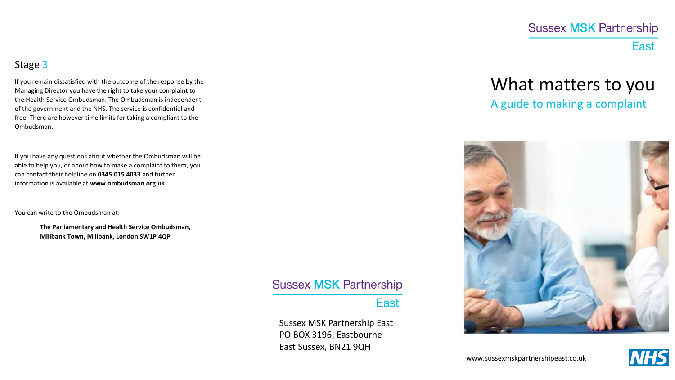# **Sussex MSK Partnership East**

## Stage 3

If you remain dissatisfied with the outcome of the response by the Managing Director you have the right to take your complaint to the Health Service Ombudsman. The Ombudsman is independent of the government and the NHS. The service is confidential and free. There are however time limits for taking a compliant to the Ombudsman.

If you have any questions about whether the Ombudsman will be able to help you, or about how to make a complaint to them, you can contact their helpline on **0345 015 4033** and further information is available at **www.ombudsman.org.uk**

You can write to the Ombudsman at:

**The Parliamentary and Health Service Ombudsman, Millbank Town, Millbank, London SW1P 4QP**

# **Sussex MSK Partnership**

## East

Sussex MSK Partnership East PO BOX 3196, Eastbourne East Sussex, BN21 9QH

# What matters to you A guide to making a complaint